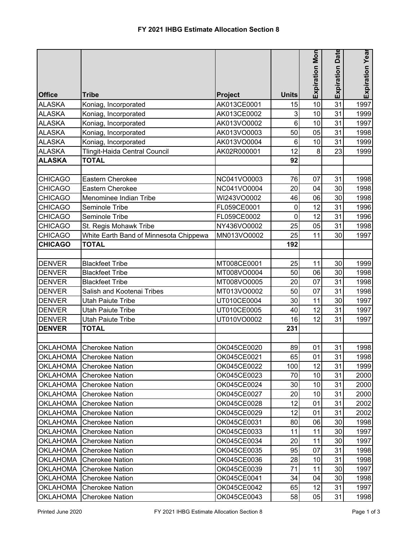|                 |                                        |                |              |                       | Date       |                 |
|-----------------|----------------------------------------|----------------|--------------|-----------------------|------------|-----------------|
|                 |                                        |                |              | <b>Expiration Mon</b> |            | Expiration Year |
|                 |                                        |                |              |                       | Expiration |                 |
|                 |                                        |                |              |                       |            |                 |
| <b>Office</b>   | <b>Tribe</b>                           | <b>Project</b> | <b>Units</b> |                       |            |                 |
| <b>ALASKA</b>   | Koniag, Incorporated                   | AK013CE0001    | 15           | 10                    | 31         | 1997            |
| <b>ALASKA</b>   | Koniag, Incorporated                   | AK013CE0002    | 3            | 10                    | 31         | 1999            |
| <b>ALASKA</b>   | Koniag, Incorporated                   | AK013VO0002    | 6            | 10                    | 31         | 1997            |
| <b>ALASKA</b>   | Koniag, Incorporated                   | AK013VO0003    | 50           | 05                    | 31         | 1998            |
| <b>ALASKA</b>   | Koniag, Incorporated                   | AK013VO0004    | 6            | 10                    | 31         | 1999            |
| <b>ALASKA</b>   | Tlingit-Haida Central Council          | AK02R000001    | 12           | 8                     | 23         | 1999            |
| <b>ALASKA</b>   | <b>TOTAL</b>                           |                | 92           |                       |            |                 |
|                 |                                        |                |              |                       |            |                 |
| <b>CHICAGO</b>  | Eastern Cherokee                       | NC041VO0003    | 76           | 07                    | 31         | 1998            |
| <b>CHICAGO</b>  | <b>Eastern Cherokee</b>                | NC041VO0004    | 20           | 04                    | 30         | 1998            |
| <b>CHICAGO</b>  | Menominee Indian Tribe                 | WI243VO0002    | 46           | 06                    | 30         | 1998            |
| <b>CHICAGO</b>  | Seminole Tribe                         | FL059CE0001    | 0            | 12                    | 31         | 1996            |
| <b>CHICAGO</b>  | Seminole Tribe                         | FL059CE0002    | $\mathbf 0$  | 12                    | 31         | 1996            |
| <b>CHICAGO</b>  | St. Regis Mohawk Tribe                 | NY436VO0002    | 25           | 05                    | 31         | 1998            |
| <b>CHICAGO</b>  | White Earth Band of Minnesota Chippewa | MN013VO0002    | 25           | 11                    | 30         | 1997            |
| <b>CHICAGO</b>  | <b>TOTAL</b>                           |                | 192          |                       |            |                 |
|                 |                                        |                |              |                       |            |                 |
| <b>DENVER</b>   | <b>Blackfeet Tribe</b>                 | MT008CE0001    | 25           | 11                    | 30         | 1999            |
| <b>DENVER</b>   | <b>Blackfeet Tribe</b>                 | MT008VO0004    | 50           | 06                    | 30         | 1998            |
| <b>DENVER</b>   | <b>Blackfeet Tribe</b>                 | MT008VO0005    | 20           | 07                    | 31         | 1998            |
| <b>DENVER</b>   | Salish and Kootenai Tribes             | MT013VO0002    | 50           | 07                    | 31         | 1998            |
| <b>DENVER</b>   | <b>Utah Paiute Tribe</b>               | UT010CE0004    | 30           | 11                    | 30         | 1997            |
| <b>DENVER</b>   | <b>Utah Paiute Tribe</b>               | UT010CE0005    | 40           | 12                    | 31         | 1997            |
| <b>DENVER</b>   | Utah Paiute Tribe                      | UT010VO0002    | 16           | 12                    | 31         | 1997            |
| <b>DENVER</b>   | <b>TOTAL</b>                           |                | 231          |                       |            |                 |
|                 |                                        |                |              |                       |            |                 |
| <b>OKLAHOMA</b> | <b>Cherokee Nation</b>                 | OK045CE0020    | 89           | 01                    | 31         | 1998            |
|                 | OKLAHOMA Cherokee Nation               | OK045CE0021    | 65           | 01                    | 31         | 1998            |
| <b>OKLAHOMA</b> | <b>Cherokee Nation</b>                 | OK045CE0022    | 100          | 12                    | 31         | 1999            |
| <b>OKLAHOMA</b> | <b>Cherokee Nation</b>                 | OK045CE0023    | 70           | 10                    | 31         | 2000            |
| <b>OKLAHOMA</b> | <b>Cherokee Nation</b>                 | OK045CE0024    | 30           | 10                    | 31         | 2000            |
| <b>OKLAHOMA</b> | <b>Cherokee Nation</b>                 | OK045CE0027    | 20           | 10                    | 31         | 2000            |
| <b>OKLAHOMA</b> | <b>Cherokee Nation</b>                 | OK045CE0028    | 12           | 01                    | 31         | 2002            |
| <b>OKLAHOMA</b> | <b>Cherokee Nation</b>                 | OK045CE0029    | 12           | 01                    | 31         | 2002            |
| <b>OKLAHOMA</b> | <b>Cherokee Nation</b>                 | OK045CE0031    | 80           | 06                    | 30         | 1998            |
| <b>OKLAHOMA</b> | <b>Cherokee Nation</b>                 | OK045CE0033    | 11           | 11                    | 30         | 1997            |
| <b>OKLAHOMA</b> | <b>Cherokee Nation</b>                 | OK045CE0034    | 20           | 11                    | 30         | 1997            |
| <b>OKLAHOMA</b> | <b>Cherokee Nation</b>                 | OK045CE0035    | 95           | 07                    | 31         | 1998            |
| <b>OKLAHOMA</b> | <b>Cherokee Nation</b>                 | OK045CE0036    | 28           | 10                    | 31         | 1998            |
| <b>OKLAHOMA</b> | <b>Cherokee Nation</b>                 | OK045CE0039    | 71           | 11                    | 30         | 1997            |
| <b>OKLAHOMA</b> | <b>Cherokee Nation</b>                 | OK045CE0041    | 34           | 04                    | 30         | 1998            |
| <b>OKLAHOMA</b> | <b>Cherokee Nation</b>                 | OK045CE0042    | 65           | 12                    | 31         | 1997            |
| OKLAHOMA        | <b>Cherokee Nation</b>                 | OK045CE0043    | 58           | 05                    | 31         | 1998            |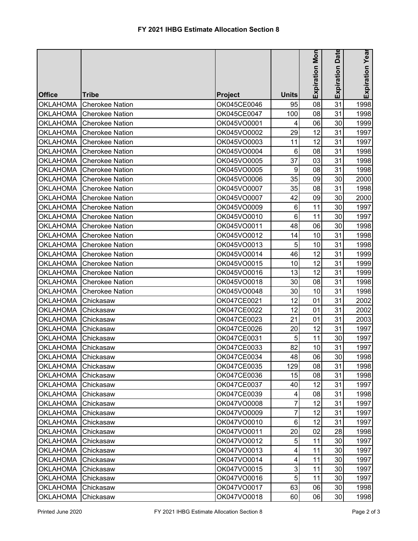|                    |                        |                |                 |                       | Date            |                 |
|--------------------|------------------------|----------------|-----------------|-----------------------|-----------------|-----------------|
|                    |                        |                |                 | <b>Expiration Mon</b> |                 | Expiration Year |
|                    |                        |                |                 |                       | Expiration      |                 |
|                    |                        |                |                 |                       |                 |                 |
| <b>Office</b>      | <b>Tribe</b>           | <b>Project</b> | <b>Units</b>    |                       |                 |                 |
| <b>OKLAHOMA</b>    | <b>Cherokee Nation</b> | OK045CE0046    | 95              | 08                    | 31              | 1998            |
| <b>OKLAHOMA</b>    | <b>Cherokee Nation</b> | OK045CE0047    | 100             | 08                    | 31              | 1998            |
| <b>OKLAHOMA</b>    | <b>Cherokee Nation</b> | OK045VO0001    | 4               | 06                    | 30              | 1999            |
| <b>OKLAHOMA</b>    | <b>Cherokee Nation</b> | OK045VO0002    | 29              | 12                    | 31              | 1997            |
| <b>OKLAHOMA</b>    | <b>Cherokee Nation</b> | OK045VO0003    | 11              | 12                    | 31              | 1997            |
| <b>OKLAHOMA</b>    | <b>Cherokee Nation</b> | OK045VO0004    | $6\phantom{1}6$ | 08                    | 31              | 1998            |
| <b>OKLAHOMA</b>    | <b>Cherokee Nation</b> | OK045VO0005    | 37              | 03                    | 31              | 1998            |
| <b>OKLAHOMA</b>    | <b>Cherokee Nation</b> | OK045VO0005    | 9               | 08                    | 31              | 1998            |
| <b>OKLAHOMA</b>    | <b>Cherokee Nation</b> | OK045VO0006    | 35              | 09                    | 30              | 2000            |
| <b>OKLAHOMA</b>    | <b>Cherokee Nation</b> | OK045VO0007    | 35              | 08                    | 31              | 1998            |
| <b>OKLAHOMA</b>    | <b>Cherokee Nation</b> | OK045VO0007    | 42              | 09                    | 30              | 2000            |
| <b>OKLAHOMA</b>    | <b>Cherokee Nation</b> | OK045VO0009    | $6\phantom{1}6$ | 11                    | 30              | 1997            |
| <b>OKLAHOMA</b>    | <b>Cherokee Nation</b> | OK045VO0010    | $6\phantom{1}6$ | 11                    | 30              | 1997            |
| <b>OKLAHOMA</b>    | <b>Cherokee Nation</b> | OK045VO0011    | 48              | 06                    | 30              | 1998            |
| <b>OKLAHOMA</b>    | <b>Cherokee Nation</b> | OK045VO0012    | 14              | 10                    | 31              | 1998            |
| <b>OKLAHOMA</b>    | <b>Cherokee Nation</b> | OK045VO0013    | 5               | 10                    | 31              | 1998            |
| <b>OKLAHOMA</b>    | <b>Cherokee Nation</b> | OK045VO0014    | 46              | 12                    | 31              | 1999            |
| <b>OKLAHOMA</b>    | <b>Cherokee Nation</b> | OK045VO0015    | 10              | 12                    | 31              | 1999            |
| <b>OKLAHOMA</b>    | <b>Cherokee Nation</b> | OK045VO0016    | 13              | 12                    | 31              | 1999            |
| <b>OKLAHOMA</b>    | <b>Cherokee Nation</b> | OK045VO0018    | 30              | 08                    | 31              | 1998            |
| <b>OKLAHOMA</b>    | <b>Cherokee Nation</b> | OK045VO0048    | 30              | 10                    | 31              | 1998            |
| <b>OKLAHOMA</b>    | Chickasaw              | OK047CE0021    | 12              | 01                    | 31              | 2002            |
| <b>OKLAHOMA</b>    | Chickasaw              | OK047CE0022    | 12              | 01                    | 31              | 2002            |
| <b>OKLAHOMA</b>    | Chickasaw              | OK047CE0023    | 21              | 01                    | 31              | 2003            |
| <b>OKLAHOMA</b>    | Chickasaw              | OK047CE0026    | 20              | 12                    | 31              | 1997            |
| <b>OKLAHOMA</b>    | Chickasaw              | OK047CE0031    | 5               | 11                    | 30              | 1997            |
| <b>OKLAHOMA</b>    | Chickasaw              | OK047CE0033    | 82              | 10                    | 31              | 1997            |
| OKLAHOMA Chickasaw |                        | OK047CE0034    | 48              | 06                    | 30 <sub>l</sub> | 1998            |
| <b>OKLAHOMA</b>    | Chickasaw              | OK047CE0035    | 129             | 08                    | 31              | 1998            |
| <b>OKLAHOMA</b>    | Chickasaw              | OK047CE0036    | 15              | 08                    | 31              | 1998            |
| <b>OKLAHOMA</b>    | Chickasaw              | OK047CE0037    | 40              | 12                    | 31              | 1997            |
| <b>OKLAHOMA</b>    | Chickasaw              | OK047CE0039    | 4               | 08                    | 31              | 1998            |
| <b>OKLAHOMA</b>    | Chickasaw              | OK047VO0008    | 7               | 12                    | 31              | 1997            |
| <b>OKLAHOMA</b>    | Chickasaw              | OK047VO0009    | 7               | 12                    | 31              | 1997            |
| <b>OKLAHOMA</b>    | Chickasaw              | OK047VO0010    | 6               | 12                    | 31              | 1997            |
| <b>OKLAHOMA</b>    | Chickasaw              | OK047VO0011    | 20              | 02                    | 28              | 1998            |
| <b>OKLAHOMA</b>    | Chickasaw              | OK047VO0012    | 5               | 11                    | 30              | 1997            |
| <b>OKLAHOMA</b>    | Chickasaw              | OK047VO0013    | 4               | 11                    | 30              | 1997            |
| <b>OKLAHOMA</b>    | Chickasaw              | OK047VO0014    | 4               | 11                    | 30              | 1997            |
| <b>OKLAHOMA</b>    | Chickasaw              | OK047VO0015    | 3               | 11                    | 30              | 1997            |
| <b>OKLAHOMA</b>    | Chickasaw              | OK047VO0016    | 5               | 11                    | 30              | 1997            |
| <b>OKLAHOMA</b>    | Chickasaw              | OK047VO0017    | 63              | 06                    | 30              | 1998            |
| <b>OKLAHOMA</b>    | Chickasaw              | OK047VO0018    | 60              | 06                    | 30 <sub>1</sub> | 1998            |